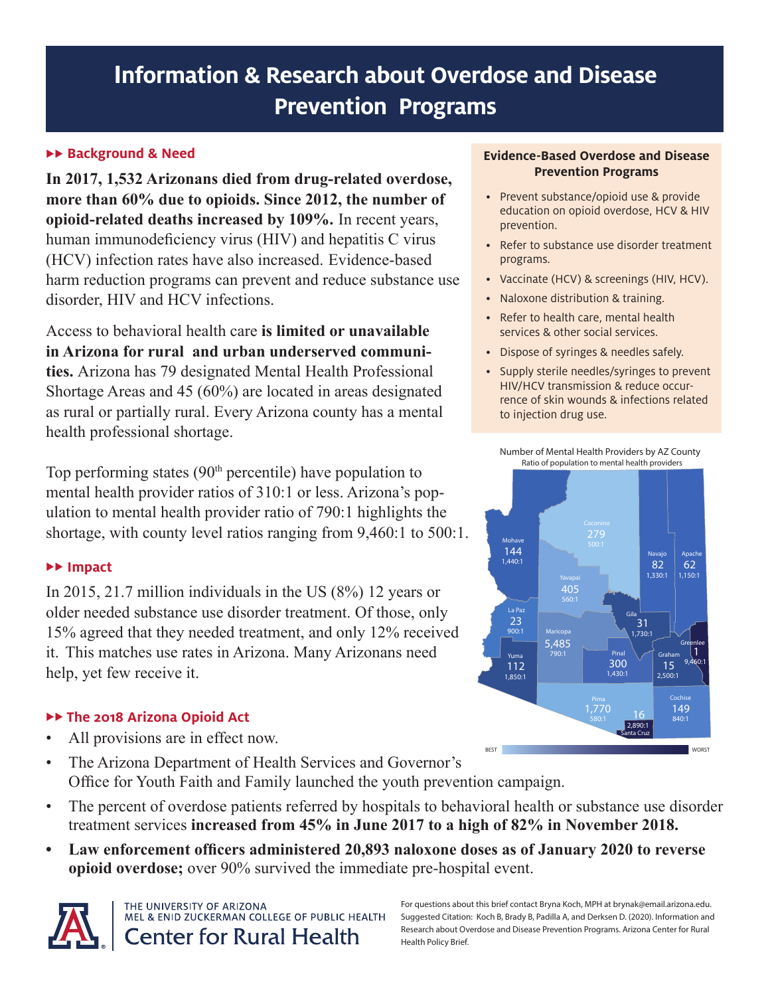# **Information & Research about Overdose and Disease Prevention Programs**

## **Background & Need**

**In 2017, 1,532 Arizonans died from drug-related overdose, more than 60% due to opioids. Since 2012, the number of opioid-related deaths increased by 109%.** In recent years, human immunodeficiency virus (HIV) and hepatitis C virus (HCV) infection rates have also increased. Evidence-based harm reduction programs can prevent and reduce substance use disorder, HIV and HCV infections.

Access to behavioral health care **is limited or unavailable in Arizona for rural and urban underserved communities.** Arizona has 79 designated Mental Health Professional Shortage Areas and 45 (60%) are located in areas designated as rural or partially rural. Every Arizona county has a mental health professional shortage.

Top performing states  $(90<sup>th</sup>$  percentile) have population to mental health provider ratios of 310:1 or less. Arizona's population to mental health provider ratio of 790:1 highlights the shortage, with county level ratios ranging from 9,460:1 to 500:1.

## **Impact**

In 2015, 21.7 million individuals in the US (8%) 12 years or older needed substance use disorder treatment. Of those, only 15% agreed that they needed treatment, and only 12% received it. This matches use rates in Arizona. Many Arizonans need help, yet few receive it.

## **The 2018 Arizona Opioid Act**

- All provisions are in effect now.
- The Arizona Department of Health Services and Governor's Office for Youth Faith and Family launched the youth prevention campaign.
- The percent of overdose patients referred by hospitals to behavioral health or substance use disorder treatment services **increased from 45% in June 2017 to a high of 82% in November 2018.**
- **• Law enforcement officers administered 20,893 naloxone doses as of January 2020 to reverse opioid overdose;** over 90% survived the immediate pre-hospital event.



#### **Evidence-Based Overdose and Disease Prevention Programs**

- Prevent substance/opioid use & provide education on opioid overdose, HCV & HIV prevention.
- Refer to substance use disorder treatment programs.
- Vaccinate (HCV) & screenings (HIV, HCV).
- Naloxone distribution & training.
- Refer to health care, mental health services & other social services.
- Dispose of syringes & needles safely.
- Supply sterile needles/syringes to prevent HIV/HCV transmission & reduce occurrence of skin wounds & infections related to injection drug use.





For questions about this brief contact Bryna Koch, MPH at brynak@email.arizona.edu. Suggested Citation: Koch B, Brady B, Padilla A, and Derksen D. (2020). Information and Research about Overdose and Disease Prevention Programs. Arizona Center for Rural Health Policy Brief.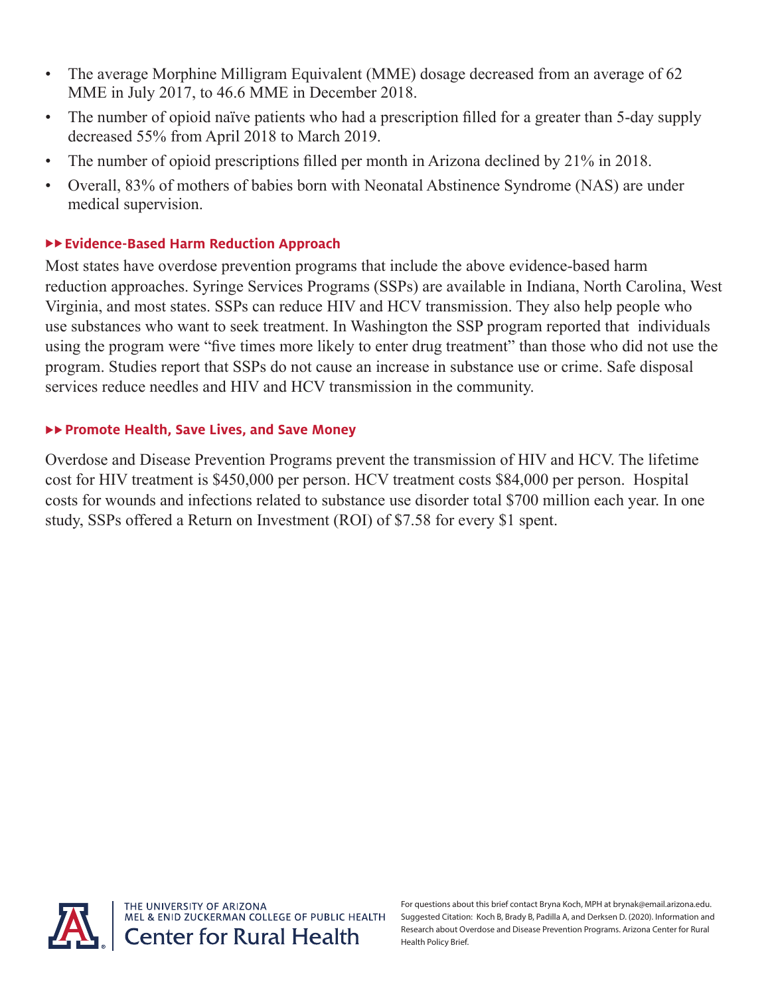- The average Morphine Milligram Equivalent (MME) dosage decreased from an average of 62 MME in July 2017, to 46.6 MME in December 2018.
- The number of opioid naïve patients who had a prescription filled for a greater than 5-day supply decreased 55% from April 2018 to March 2019.
- The number of opioid prescriptions filled per month in Arizona declined by 21% in 2018.
- Overall, 83% of mothers of babies born with Neonatal Abstinence Syndrome (NAS) are under medical supervision.

# **Evidence-Based Harm Reduction Approach**

Most states have overdose prevention programs that include the above evidence-based harm reduction approaches. Syringe Services Programs (SSPs) are available in Indiana, North Carolina, West Virginia, and most states. SSPs can reduce HIV and HCV transmission. They also help people who use substances who want to seek treatment. In Washington the SSP program reported that individuals using the program were "five times more likely to enter drug treatment" than those who did not use the program. Studies report that SSPs do not cause an increase in substance use or crime. Safe disposal services reduce needles and HIV and HCV transmission in the community.

# **Promote Health, Save Lives, and Save Money**

Overdose and Disease Prevention Programs prevent the transmission of HIV and HCV. The lifetime cost for HIV treatment is \$450,000 per person. HCV treatment costs \$84,000 per person. Hospital costs for wounds and infections related to substance use disorder total \$700 million each year. In one study, SSPs offered a Return on Investment (ROI) of \$7.58 for every \$1 spent.



For questions about this brief contact Bryna Koch, MPH at brynak@email.arizona.edu. Suggested Citation: Koch B, Brady B, Padilla A, and Derksen D. (2020). Information and Research about Overdose and Disease Prevention Programs. Arizona Center for Rural Health Policy Brief.